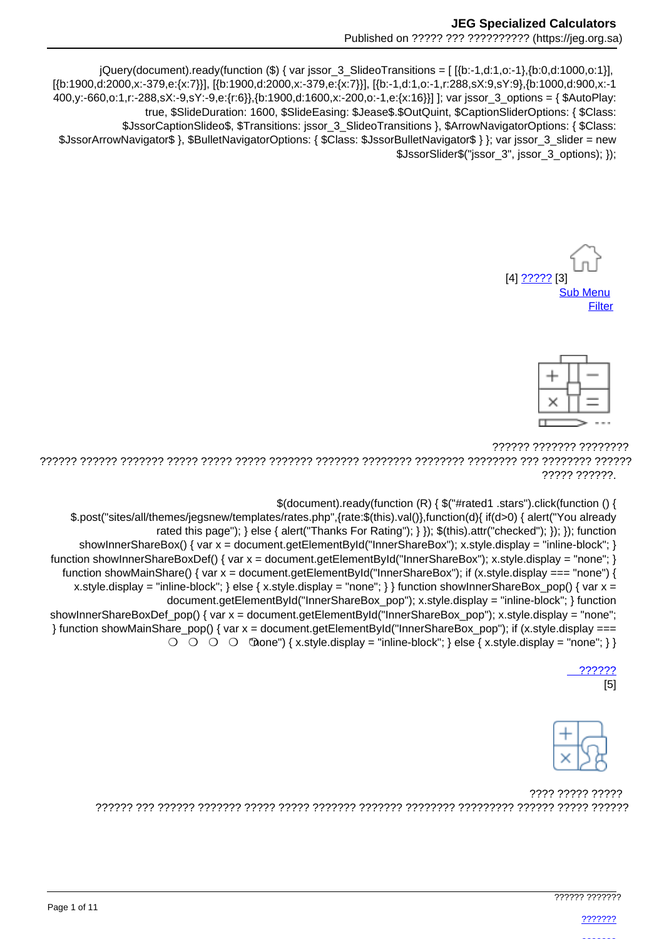jQuery(document).ready(function (\$) { var jssor\_3\_SlideoTransitions = [[{b:-1,d:1,o:-1},{b:0,d:1000,o:1}], [{b:1900.d:2000.x:-379.e:{x:7}}], [{b:1900.d:2000.x:-379.e:{x:7}}], [{b:-1.d:1.o:-1.r:288.sX:9.sY:9}, {b:1000.d:900.x:-1 400,y:-660,o:1,r:-288,sX:-9,sY:-9,e:{r:6}},{b:1900,d:1600,x:-200,o:-1,e:{x:16}}] ]; var jssor\_3\_options = { \$AutoPlay: true, \$SlideDuration: 1600, \$SlideEasing: \$Jease\$.\$OutQuint, \$CaptionSliderOptions: { \$Class: \$JssorCaptionSlideo\$, \$Transitions: jssor\_3\_SlideoTransitions }, \$ArrowNavigatorOptions: { \$Class: \$JssorArrowNavigator\$ }, \$BulletNavigatorOptions: { \$Class: \$JssorBulletNavigator\$ } }; var jssor\_3\_slider = new \$JssorSlider\$("jssor 3", jssor 3 options); });





777777 7777777 77777777 דרדרדר דרדרדרדר דרד דרדרדרדרד דרדרדרד דרדרדרד דרדרדרד דרדרדר דרדרד דרדרך דרדרך דרדרך דרדרד דרדרדר דרדרד דרדרד ????? ??????.

\$(document).ready(function (R) { \$("#rated1 .stars").click(function () {

\$.post("sites/all/themes/jegsnew/templates/rates.php",{rate:\$(this).val()},function(d){ if(d>0) { alert("You already rated this page"); } else { alert("Thanks For Rating"); } }); \$(this).attr("checked"); }); }); function showInnerShareBox() { var  $x =$  document.getElementById("InnerShareBox"): x.style.display = "inline-block": } function showInnerShareBoxDef() { var  $x =$  document.getElementById("InnerShareBox"); x.style.display = "none"; } function showMainShare() { var  $x =$  document.getElementById("InnerShareBox"); if (x.style.display === "none") { x.style.display = "inline-block"; } else { x.style.display = "none"; } } function show InnerShareBox pop() { var x = document.getElementById("InnerShareBox\_pop"); x.style.display = "inline-block"; } function showInnerShareBoxDef\_pop() { var x = document.getElementById("InnerShareBox\_pop"); x.style.display = "none"; } function showMainShare\_pop() { var x = document.getElementById("InnerShareBox pop"); if (x.style.display ===

 $\bigcirc$   $\bigcirc$   $\bigcirc$   $\bigcirc$   $\bigcirc$   $\bigcirc$   $\bigcirc$   $\bigcirc$   $\bigcirc$   $\bigcirc$   $\bigcirc$   $\bigcirc$   $\bigcirc$   $\bigcirc$   $\bigcirc$   $\bigcirc$   $\bigcirc$   $\bigcirc$   $\bigcirc$   $\bigcirc$   $\bigcirc$   $\bigcirc$   $\bigcirc$   $\bigcirc$   $\bigcirc$   $\bigcirc$   $\bigcirc$   $\bigcirc$   $\bigcirc$   $\bigcirc$   $\bigcirc$   $\bigcirc$   $\bigcirc$   $\bigcirc$   $\bigcirc$   $\bigcirc$   $\bigcirc$ 

??????  $[5]$ 



???? ????? ?????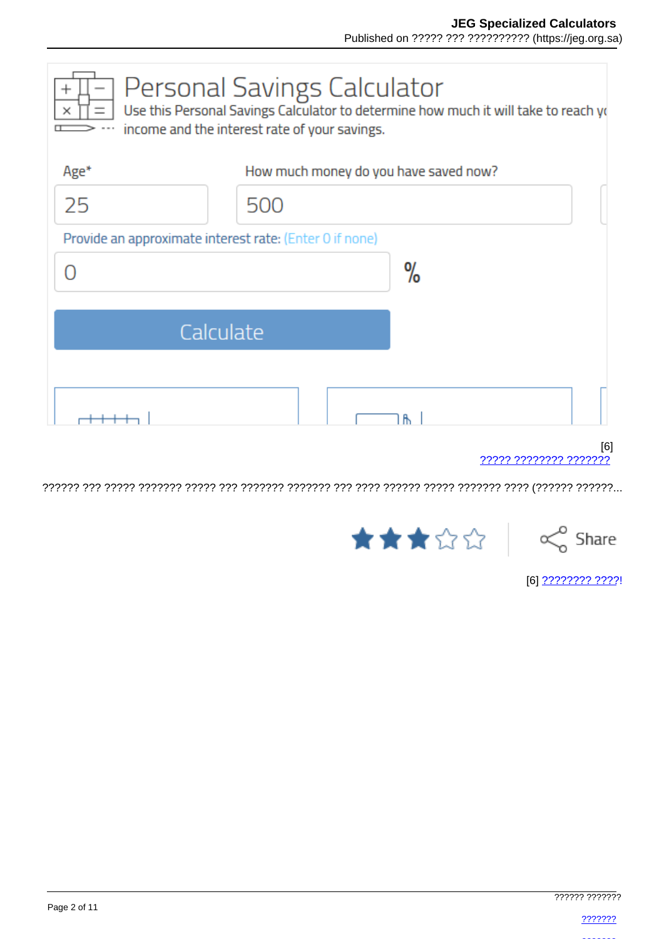| Personal Savings Calculator<br>Use this Personal Savings Calculator to determine how much it will take to reach yo<br>income and the interest rate of your savings. |                                       |  |
|---------------------------------------------------------------------------------------------------------------------------------------------------------------------|---------------------------------------|--|
| Age*                                                                                                                                                                | How much money do you have saved now? |  |
| 25                                                                                                                                                                  | 500                                   |  |
| Provide an approximate interest rate: (Enter 0 if none)                                                                                                             |                                       |  |
|                                                                                                                                                                     | %                                     |  |
| Calculate                                                                                                                                                           |                                       |  |
|                                                                                                                                                                     |                                       |  |

## $[6]$ 77777 77777777 7777777



[6] ???????? ????!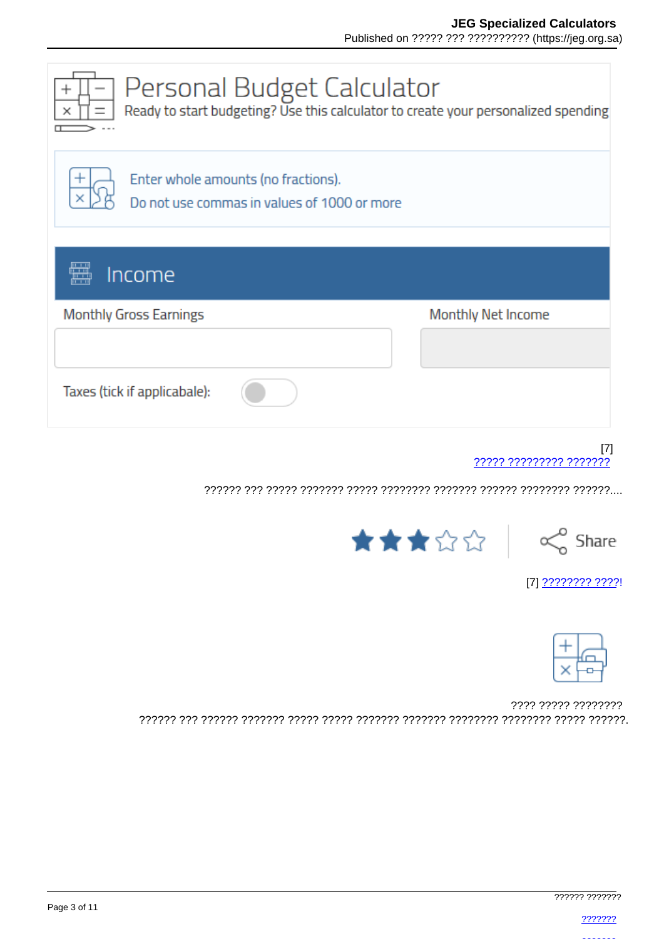| Personal Budget Calculator<br>÷<br>Ready to start budgeting? Use this calculator to create your personalized spending<br>$\times$ |                           |
|-----------------------------------------------------------------------------------------------------------------------------------|---------------------------|
| Enter whole amounts (no fractions).<br>Do not use commas in values of 1000 or more                                                |                           |
| Income<br>.                                                                                                                       |                           |
| <b>Monthly Gross Earnings</b>                                                                                                     | <b>Monthly Net Income</b> |
| Taxes (tick if applicabale):                                                                                                      | 171                       |





[7] <u>???????? ????</u>!



???? ????? ????????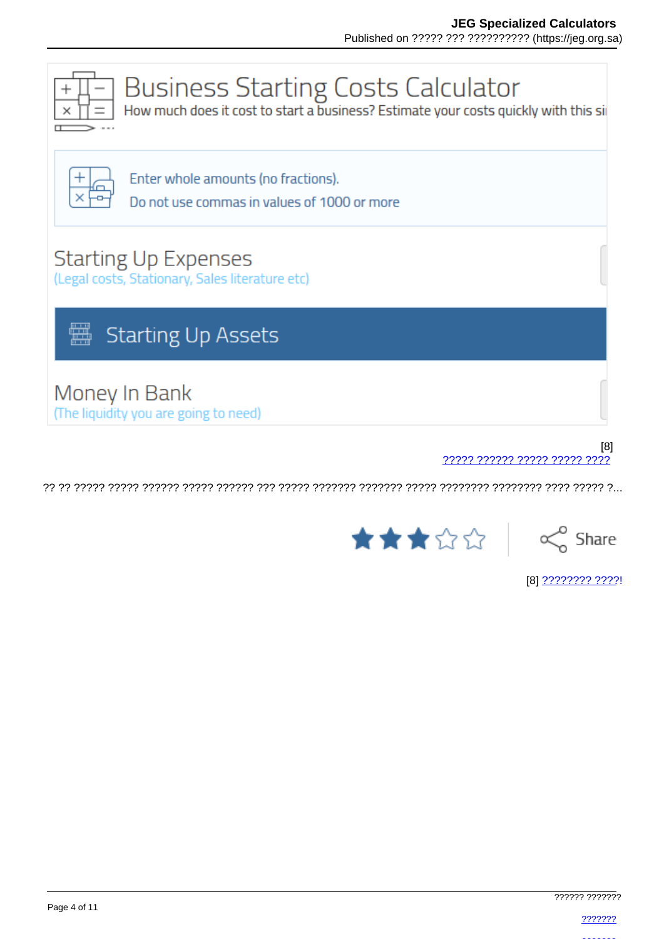





[8] ???????? ????!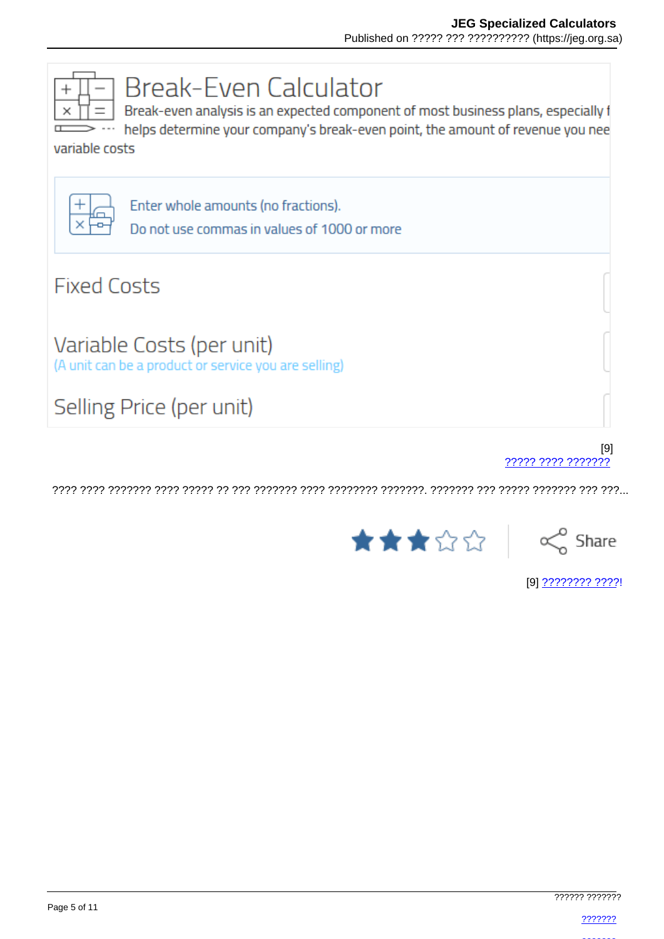

## **Break-Even Calculator**

Break-even analysis is an expected component of most business plans, especially f

helps determine your company's break-even point, the amount of revenue you nee

variable costs



Enter whole amounts (no fractions). Do not use commas in values of 1000 or more

**Fixed Costs** 

Variable Costs (per unit) (A unit can be a product or service you are selling)

Selling Price (per unit)







[9] ???????? ????!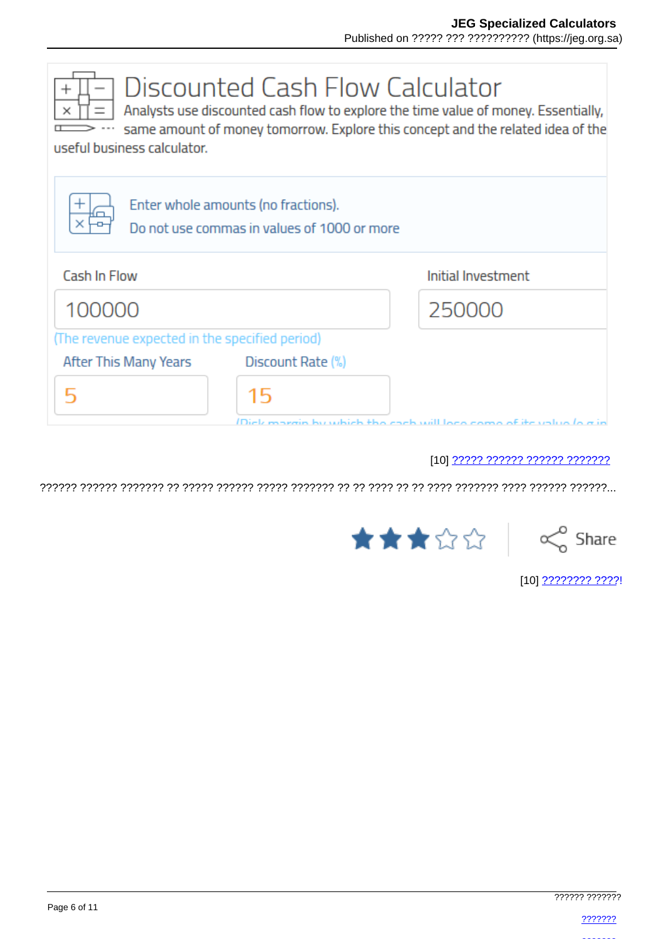| Discounted Cash Flow Calculator<br>+<br>Analysts use discounted cash flow to explore the time value of money. Essentially,<br>×<br>same amount of money tomorrow. Explore this concept and the related idea of the<br>useful business calculator. |                   |                                                                            |  |
|---------------------------------------------------------------------------------------------------------------------------------------------------------------------------------------------------------------------------------------------------|-------------------|----------------------------------------------------------------------------|--|
| Enter whole amounts (no fractions).<br>Do not use commas in values of 1000 or more                                                                                                                                                                |                   |                                                                            |  |
| Cash In Flow                                                                                                                                                                                                                                      |                   | Initial Investment                                                         |  |
| 100000                                                                                                                                                                                                                                            |                   | 250000                                                                     |  |
| (The revenue expected in the specified period)                                                                                                                                                                                                    |                   |                                                                            |  |
| After This Many Years                                                                                                                                                                                                                             | Discount Rate (%) |                                                                            |  |
|                                                                                                                                                                                                                                                   | 15                |                                                                            |  |
|                                                                                                                                                                                                                                                   |                   | <u>(Dick margin bu which the cach will loce come of its value Le g.in)</u> |  |

[10] 22222 222222 222222 2222222



[10] ???????? ????!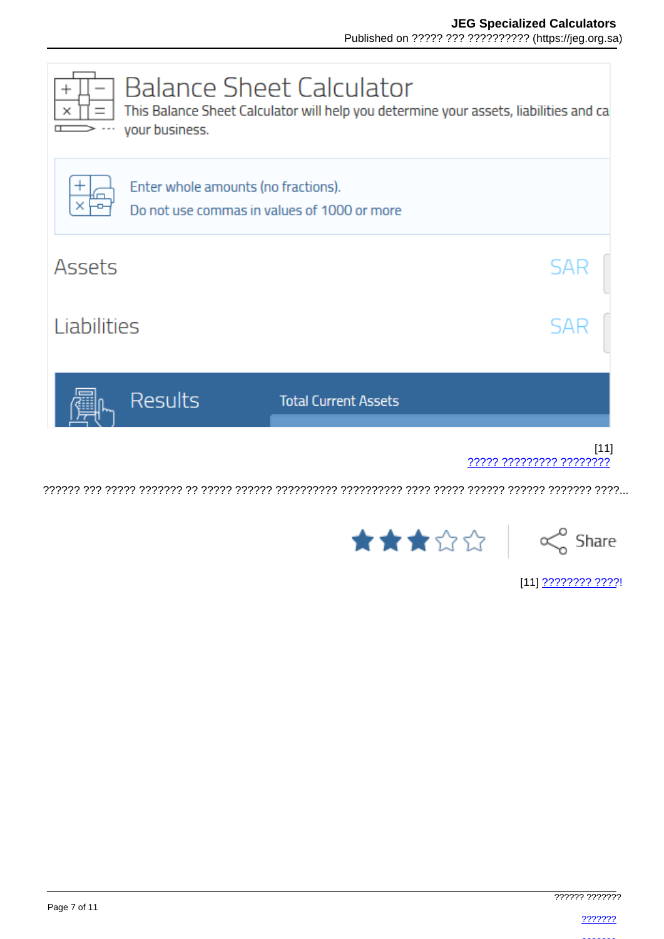

 $[11]$ ????? ????????? ????????





[11] ???????? ????!

777777 777777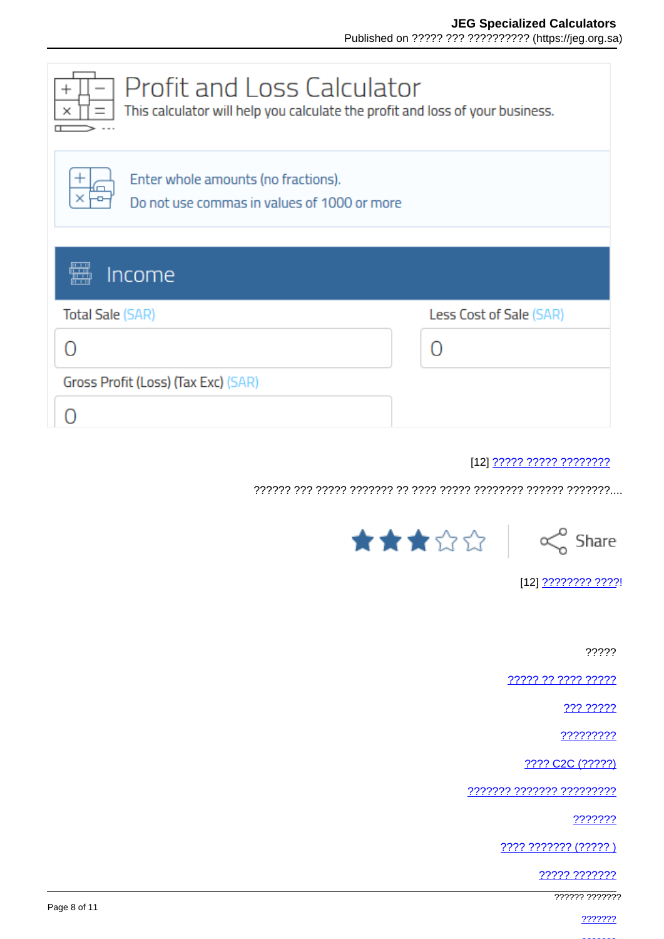| <b>Profit and Loss Calculator</b><br>+<br>This calculator will help you calculate the profit and loss of your business.<br>× |                         |
|------------------------------------------------------------------------------------------------------------------------------|-------------------------|
| Enter whole amounts (no fractions).<br>Do not use commas in values of 1000 or more                                           |                         |
| .<br>Income<br>1 I 11                                                                                                        |                         |
| <b>Total Sale (SAR)</b>                                                                                                      | Less Cost of Sale (SAR) |
|                                                                                                                              |                         |
| Gross Profit (Loss) (Tax Exc) (SAR)                                                                                          |                         |
|                                                                                                                              |                         |

## [12] ????? ????? ?????????



[12] ???????? ????!

?????

????? ?? ???? ?????

??? ?????

?????????

???? C2C (?????)

??????? ??????? ?????????

???????

2222 2222222 (22222)

22222 2222222

777777 7777777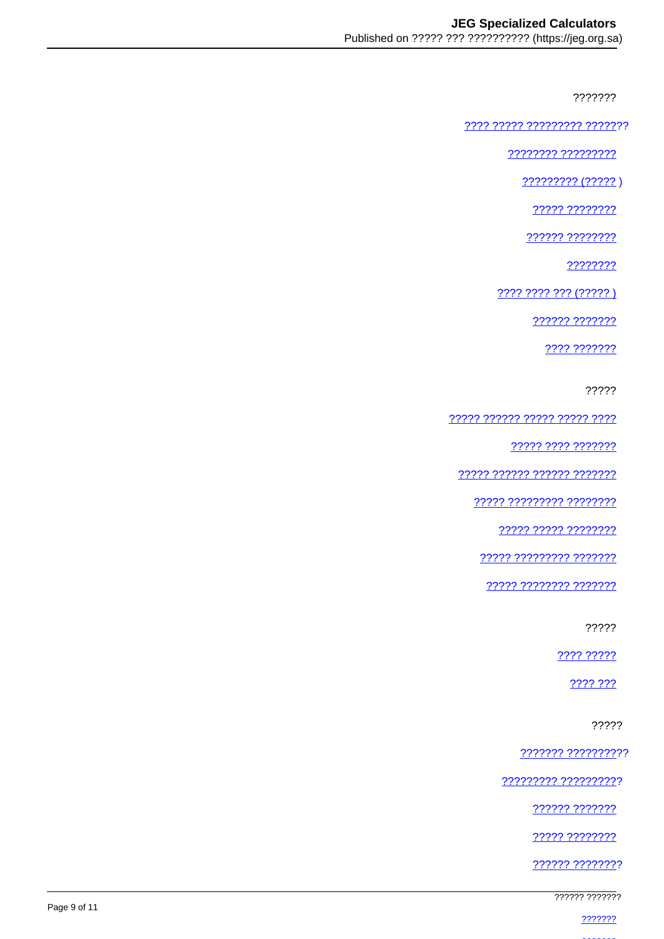???????

## <u> ???? ????? ????????? ???????</u>

<u>???????? ??????????</u>

????????? (?????)

????? ????????

?????? ????????

????????

???? ???? ??? (????? )

222222 2222222

2222 2222222

?????

<u> ????? ?????? ????? ????? ????</u>

????? ???? ???????

77777 777777 777777 7777777

77777 777777777 77777777

22222 22222 22222222

????? ????????? ???????

????? ???????? ???????

?????

???? ?????

???? ???

?????

<u>??????? ??????????</u>

????????? ??????????

?????? ???????

????? ????????

?????? ????????

777777 7777777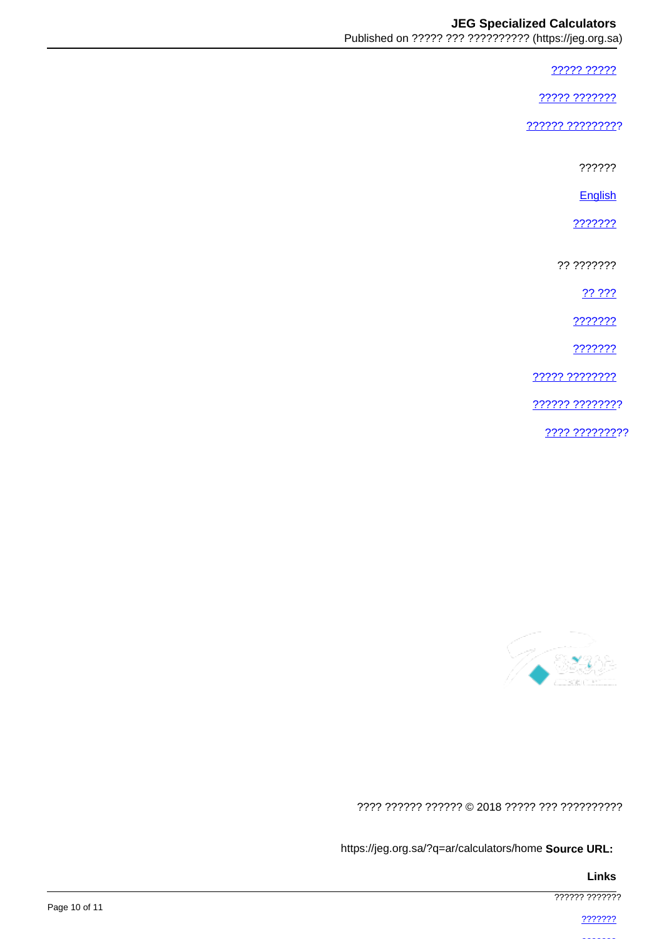????? ?????

22222 2222222

?????? ?????????

??????

English

???????

?? ???????

 $?? ???$ 

2222222

???????

????? ????????

<u> ?????? ????????</u>

<u> ???? ????????</u>??



???? ?????? ?????? © 2018 ????? ??? ??????????

https://jeg.org.sa/?g=ar/calculators/home Source URL:

|               | .<br>$\sim$ $\sim$ |  |
|---------------|--------------------|--|
|               | <b>Links</b>       |  |
|               | ?????? ???????     |  |
| Page 10 of 11 | 2222222            |  |
|               |                    |  |